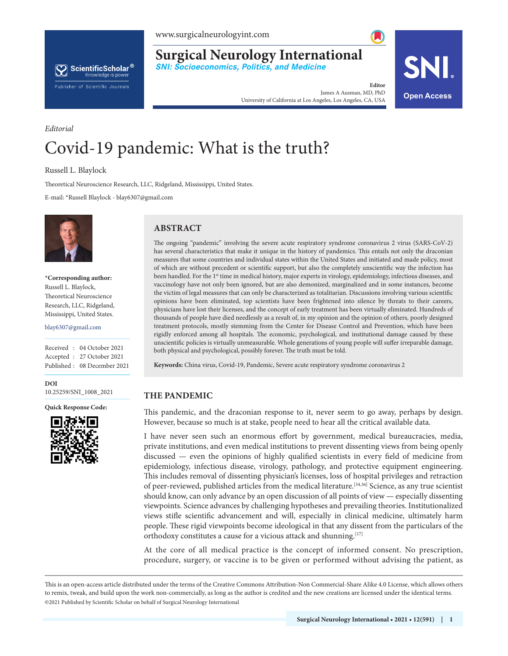



**Surgical Neurology International**

**SNI: Socioeconomics, Politics, and Medicine**

**Editor** James A Ausman, MD, PhD James A Ausman, MD, PhD<br>University of California at Los Angeles, Los Angeles, CA, USA **Open Access** 

# *Editorial* Covid-19 pandemic: What is the truth?

Russell L. Blaylock

Theoretical Neuroscience Research, LLC, Ridgeland, Mississippi, United States.

E-mail: \*Russell Blaylock - blay6307@gmail.com



**\*Corresponding author:** Russell L. Blaylock, Theoretical Neuroscience Research, LLC, Ridgeland, Mississippi, United States.

blay6307@gmail.com

Received : 04 October 2021 Accepted : 27 October 2021 Published : 08 December 2021

**DOI** 10.25259/SNI\_1008\_2021

**Quick Response Code:**



# **ABSTRACT**

The ongoing "pandemic" involving the severe acute respiratory syndrome coronavirus 2 virus (SARS-CoV-2) has several characteristics that make it unique in the history of pandemics. This entails not only the draconian measures that some countries and individual states within the United States and initiated and made policy, most of which are without precedent or scientific support, but also the completely unscientific way the infection has been handled. For the 1<sup>st</sup> time in medical history, major experts in virology, epidemiology, infectious diseases, and vaccinology have not only been ignored, but are also demonized, marginalized and in some instances, become the victim of legal measures that can only be characterized as totalitarian. Discussions involving various scientific opinions have been eliminated, top scientists have been frightened into silence by threats to their careers, physicians have lost their licenses, and the concept of early treatment has been virtually eliminated. Hundreds of thousands of people have died needlessly as a result of, in my opinion and the opinion of others, poorly designed treatment protocols, mostly stemming from the Center for Disease Control and Prevention, which have been rigidly enforced among all hospitals. The economic, psychological, and institutional damage caused by these unscientific policies is virtually unmeasurable. Whole generations of young people will suffer irreparable damage, both physical and psychological, possibly forever. The truth must be told.

**Keywords:** China virus, Covid-19, Pandemic, Severe acute respiratory syndrome coronavirus 2

## **THE PANDEMIC**

This pandemic, and the draconian response to it, never seem to go away, perhaps by design. However, because so much is at stake, people need to hear all the critical available data.

I have never seen such an enormous effort by government, medical bureaucracies, media, private institutions, and even medical institutions to prevent dissenting views from being openly discussed — even the opinions of highly qualified scientists in every field of medicine from epidemiology, infectious disease, virology, pathology, and protective equipment engineering. This includes removal of dissenting physician's licenses, loss of hospital privileges and retraction of peer-reviewed, published articles from the medical literature.[34,36] Science, as any true scientist should know, can only advance by an open discussion of all points of view — especially dissenting viewpoints. Science advances by challenging hypotheses and prevailing theories. Institutionalized views stifle scientific advancement and will, especially in clinical medicine, ultimately harm people. These rigid viewpoints become ideological in that any dissent from the particulars of the orthodoxy constitutes a cause for a vicious attack and shunning.[17]

At the core of all medical practice is the concept of informed consent. No prescription, procedure, surgery, or vaccine is to be given or performed without advising the patient, as

is is an open-access article distributed under the terms of the Creative Commons Attribution-Non Commercial-Share Alike 4.0 License, which allows others to remix, tweak, and build upon the work non-commercially, as long as the author is credited and the new creations are licensed under the identical terms. ©2021 Published by Scientific Scholar on behalf of Surgical Neurology International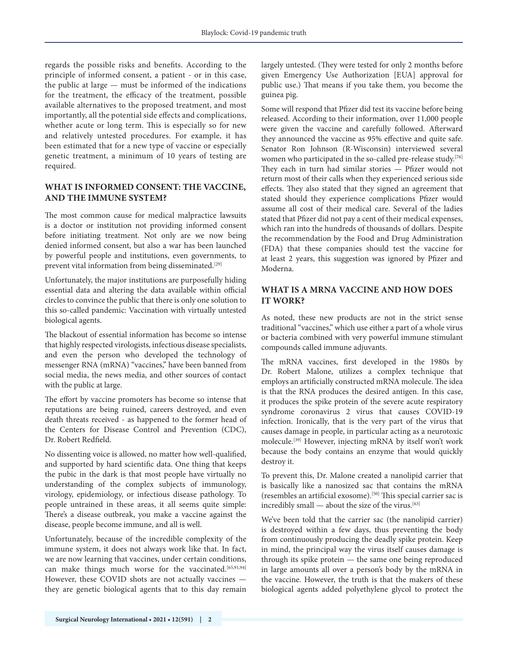regards the possible risks and benefits. According to the principle of informed consent, a patient - or in this case, the public at large — must be informed of the indications for the treatment, the efficacy of the treatment, possible available alternatives to the proposed treatment, and most importantly, all the potential side effects and complications, whether acute or long term. This is especially so for new and relatively untested procedures. For example, it has been estimated that for a new type of vaccine or especially genetic treatment, a minimum of 10 years of testing are required.

# **WHAT IS INFORMED CONSENT: THE VACCINE, AND THE IMMUNE SYSTEM?**

The most common cause for medical malpractice lawsuits is a doctor or institution not providing informed consent before initiating treatment. Not only are we now being denied informed consent, but also a war has been launched by powerful people and institutions, even governments, to prevent vital information from being disseminated.<sup>[29]</sup>

Unfortunately, the major institutions are purposefully hiding essential data and altering the data available within official circles to convince the public that there is only one solution to this so-called pandemic: Vaccination with virtually untested biological agents.

The blackout of essential information has become so intense that highly respected virologists, infectious disease specialists, and even the person who developed the technology of messenger RNA (mRNA) "vaccines," have been banned from social media, the news media, and other sources of contact with the public at large.

The effort by vaccine promoters has become so intense that reputations are being ruined, careers destroyed, and even death threats received - as happened to the former head of the Centers for Disease Control and Prevention (CDC), Dr. Robert Redfield.

No dissenting voice is allowed, no matter how well-qualified, and supported by hard scientific data. One thing that keeps the pubic in the dark is that most people have virtually no understanding of the complex subjects of immunology, virology, epidemiology, or infectious disease pathology. To people untrained in these areas, it all seems quite simple: There's a disease outbreak, you make a vaccine against the disease, people become immune, and all is well.

Unfortunately, because of the incredible complexity of the immune system, it does not always work like that. In fact, we are now learning that vaccines, under certain conditions, can make things much worse for the vaccinated.<sup>[65,91,94]</sup> However, these COVID shots are not actually vaccines they are genetic biological agents that to this day remain

largely untested. (They were tested for only 2 months before given Emergency Use Authorization [EUA] approval for public use.) That means if you take them, you become the guinea pig.

Some will respond that Pfizer did test its vaccine before being released. According to their information, over 11,000 people were given the vaccine and carefully followed. Afterward they announced the vaccine as 95% effective and quite safe. Senator Ron Johnson (R-Wisconsin) interviewed several women who participated in the so-called pre-release study.[76] They each in turn had similar stories — Pfizer would not return most of their calls when they experienced serious side effects. They also stated that they signed an agreement that stated should they experience complications Pfizer would assume all cost of their medical care. Several of the ladies stated that Pfizer did not pay a cent of their medical expenses, which ran into the hundreds of thousands of dollars. Despite the recommendation by the Food and Drug Administration (FDA) that these companies should test the vaccine for at least 2 years, this suggestion was ignored by Pfizer and Moderna.

# **WHAT IS A MRNA VACCINE AND HOW DOES IT WORK?**

As noted, these new products are not in the strict sense traditional "vaccines," which use either a part of a whole virus or bacteria combined with very powerful immune stimulant compounds called immune adjuvants.

The mRNA vaccines, first developed in the 1980s by Dr. Robert Malone, utilizes a complex technique that employs an artificially constructed mRNA molecule. The idea is that the RNA produces the desired antigen. In this case, it produces the spike protein of the severe acute respiratory syndrome coronavirus 2 virus that causes COVID-19 infection. Ironically, that is the very part of the virus that causes damage in people, in particular acting as a neurotoxic molecule.[39] However, injecting mRNA by itself won't work because the body contains an enzyme that would quickly destroy it.

To prevent this, Dr. Malone created a nanolipid carrier that is basically like a nanosized sac that contains the mRNA (resembles an artificial exosome).[50] This special carrier sac is incredibly small  $-$  about the size of the virus.<sup>[63]</sup>

We've been told that the carrier sac (the nanolipid carrier) is destroyed within a few days, thus preventing the body from continuously producing the deadly spike protein. Keep in mind, the principal way the virus itself causes damage is through its spike protein — the same one being reproduced in large amounts all over a person's body by the mRNA in the vaccine. However, the truth is that the makers of these biological agents added polyethylene glycol to protect the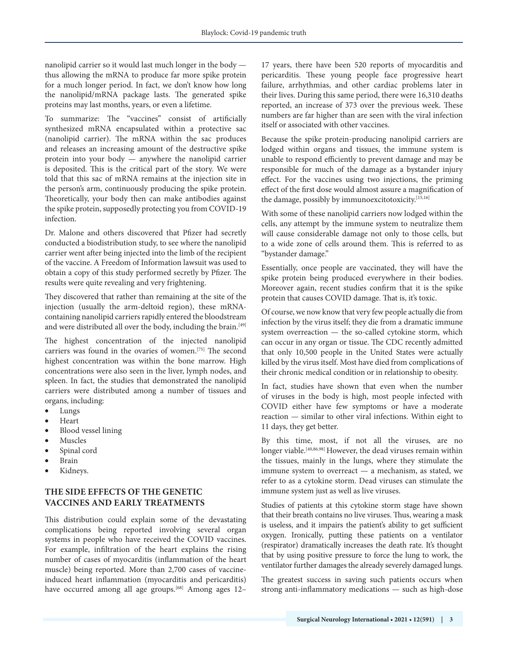nanolipid carrier so it would last much longer in the body thus allowing the mRNA to produce far more spike protein for a much longer period. In fact, we don't know how long the nanolipid/mRNA package lasts. The generated spike proteins may last months, years, or even a lifetime.

To summarize: The "vaccines" consist of artificially synthesized mRNA encapsulated within a protective sac (nanolipid carrier). The mRNA within the sac produces and releases an increasing amount of the destructive spike protein into your body — anywhere the nanolipid carrier is deposited. This is the critical part of the story. We were told that this sac of mRNA remains at the injection site in the person's arm, continuously producing the spike protein. Theoretically, your body then can make antibodies against the spike protein, supposedly protecting you from COVID-19 infection.

Dr. Malone and others discovered that Pfizer had secretly conducted a biodistribution study, to see where the nanolipid carrier went after being injected into the limb of the recipient of the vaccine. A Freedom of Information lawsuit was used to obtain a copy of this study performed secretly by Pfizer. The results were quite revealing and very frightening.

They discovered that rather than remaining at the site of the injection (usually the arm-deltoid region), these mRNAcontaining nanolipid carriers rapidly entered the bloodstream and were distributed all over the body, including the brain.<sup>[49]</sup>

The highest concentration of the injected nanolipid carriers was found in the ovaries of women.[75] The second highest concentration was within the bone marrow. High concentrations were also seen in the liver, lymph nodes, and spleen. In fact, the studies that demonstrated the nanolipid carriers were distributed among a number of tissues and organs, including:

- Lungs
- **Heart**
- Blood vessel lining
- **Muscles**
- Spinal cord
- **Brain**
- Kidneys.

# **THE SIDE EFFECTS OF THE GENETIC VACCINES AND EARLY TREATMENTS**

This distribution could explain some of the devastating complications being reported involving several organ systems in people who have received the COVID vaccines. For example, infiltration of the heart explains the rising number of cases of myocarditis (inflammation of the heart muscle) being reported. More than 2,700 cases of vaccineinduced heart inflammation (myocarditis and pericarditis) have occurred among all age groups.<sup>[68]</sup> Among ages 12-

17 years, there have been 520 reports of myocarditis and pericarditis. These young people face progressive heart failure, arrhythmias, and other cardiac problems later in their lives. During this same period, there were 16,310 deaths reported, an increase of 373 over the previous week. These numbers are far higher than are seen with the viral infection itself or associated with other vaccines.

Because the spike protein-producing nanolipid carriers are lodged within organs and tissues, the immune system is unable to respond efficiently to prevent damage and may be responsible for much of the damage as a bystander injury effect. For the vaccines using two injections, the priming effect of the first dose would almost assure a magnification of the damage, possibly by immunoexcitotoxicity.<sup>[15,16]</sup>

With some of these nanolipid carriers now lodged within the cells, any attempt by the immune system to neutralize them will cause considerable damage not only to those cells, but to a wide zone of cells around them. This is referred to as "bystander damage."

Essentially, once people are vaccinated, they will have the spike protein being produced everywhere in their bodies. Moreover again, recent studies confirm that it is the spike protein that causes COVID damage. That is, it's toxic.

Of course, we now know that very few people actually die from infection by the virus itself; they die from a dramatic immune system overreaction — the so-called cytokine storm, which can occur in any organ or tissue. The CDC recently admitted that only 10,500 people in the United States were actually killed by the virus itself. Most have died from complications of their chronic medical condition or in relationship to obesity.

In fact, studies have shown that even when the number of viruses in the body is high, most people infected with COVID either have few symptoms or have a moderate reaction — similar to other viral infections. Within eight to 11 days, they get better.

By this time, most, if not all the viruses, are no longer viable.<sup>[40,86,98]</sup> However, the dead viruses remain within the tissues, mainly in the lungs, where they stimulate the immune system to overreact — a mechanism, as stated, we refer to as a cytokine storm. Dead viruses can stimulate the immune system just as well as live viruses.

Studies of patients at this cytokine storm stage have shown that their breath contains no live viruses. Thus, wearing a mask is useless, and it impairs the patient's ability to get sufficient oxygen. Ironically, putting these patients on a ventilator (respirator) dramatically increases the death rate. It's thought that by using positive pressure to force the lung to work, the ventilator further damages the already severely damaged lungs.

The greatest success in saving such patients occurs when strong anti-inflammatory medications — such as high-dose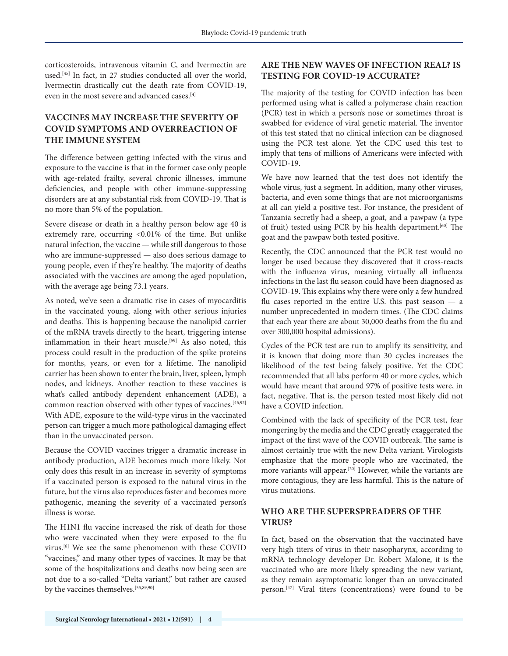corticosteroids, intravenous vitamin C, and Ivermectin are used.<sup>[45]</sup> In fact, in 27 studies conducted all over the world, Ivermectin drastically cut the death rate from COVID-19, even in the most severe and advanced cases.[4]

# **VACCINES MAY INCREASE THE SEVERITY OF COVID SYMPTOMS AND OVERREACTION OF THE IMMUNE SYSTEM**

The difference between getting infected with the virus and exposure to the vaccine is that in the former case only people with age-related frailty, several chronic illnesses, immune deficiencies, and people with other immune-suppressing disorders are at any substantial risk from COVID-19. That is no more than 5% of the population.

Severe disease or death in a healthy person below age 40 is extremely rare, occurring <0.01% of the time. But unlike natural infection, the vaccine — while still dangerous to those who are immune-suppressed — also does serious damage to young people, even if they're healthy. The majority of deaths associated with the vaccines are among the aged population, with the average age being 73.1 years.

As noted, we've seen a dramatic rise in cases of myocarditis in the vaccinated young, along with other serious injuries and deaths. This is happening because the nanolipid carrier of the mRNA travels directly to the heart, triggering intense inflammation in their heart muscle.<sup>[59]</sup> As also noted, this process could result in the production of the spike proteins for months, years, or even for a lifetime. The nanolipid carrier has been shown to enter the brain, liver, spleen, lymph nodes, and kidneys. Another reaction to these vaccines is what's called antibody dependent enhancement (ADE), a common reaction observed with other types of vaccines.<sup>[46,92]</sup> With ADE, exposure to the wild-type virus in the vaccinated person can trigger a much more pathological damaging effect than in the unvaccinated person.

Because the COVID vaccines trigger a dramatic increase in antibody production, ADE becomes much more likely. Not only does this result in an increase in severity of symptoms if a vaccinated person is exposed to the natural virus in the future, but the virus also reproduces faster and becomes more pathogenic, meaning the severity of a vaccinated person's illness is worse.

The H1N1 flu vaccine increased the risk of death for those who were vaccinated when they were exposed to the flu virus.[6] We see the same phenomenon with these COVID "vaccines," and many other types of vaccines. It may be that some of the hospitalizations and deaths now being seen are not due to a so-called "Delta variant," but rather are caused by the vaccines themselves.[55,89,90]

## **ARE THE NEW WAVES OF INFECTION REAL? IS TESTING FOR COVID-19 ACCURATE?**

The majority of the testing for COVID infection has been performed using what is called a polymerase chain reaction (PCR) test in which a person's nose or sometimes throat is swabbed for evidence of viral genetic material. The inventor of this test stated that no clinical infection can be diagnosed using the PCR test alone. Yet the CDC used this test to imply that tens of millions of Americans were infected with COVID-19.

We have now learned that the test does not identify the whole virus, just a segment. In addition, many other viruses, bacteria, and even some things that are not microorganisms at all can yield a positive test. For instance, the president of Tanzania secretly had a sheep, a goat, and a pawpaw (a type of fruit) tested using PCR by his health department.<sup>[60]</sup> The goat and the pawpaw both tested positive.

Recently, the CDC announced that the PCR test would no longer be used because they discovered that it cross-reacts with the influenza virus, meaning virtually all influenza infections in the last flu season could have been diagnosed as COVID-19. This explains why there were only a few hundred flu cases reported in the entire U.S. this past season — a number unprecedented in modern times. (The CDC claims that each year there are about 30,000 deaths from the flu and over 300,000 hospital admissions).

Cycles of the PCR test are run to amplify its sensitivity, and it is known that doing more than 30 cycles increases the likelihood of the test being falsely positive. Yet the CDC recommended that all labs perform 40 or more cycles, which would have meant that around 97% of positive tests were, in fact, negative. That is, the person tested most likely did not have a COVID infection.

Combined with the lack of specificity of the PCR test, fear mongering by the media and the CDC greatly exaggerated the impact of the first wave of the COVID outbreak. The same is almost certainly true with the new Delta variant. Virologists emphasize that the more people who are vaccinated, the more variants will appear.[20] However, while the variants are more contagious, they are less harmful. This is the nature of virus mutations.

### **WHO ARE THE SUPERSPREADERS OF THE VIRUS?**

In fact, based on the observation that the vaccinated have very high titers of virus in their nasopharynx, according to mRNA technology developer Dr. Robert Malone, it is the vaccinated who are more likely spreading the new variant, as they remain asymptomatic longer than an unvaccinated person.<sup>[47]</sup> Viral titers (concentrations) were found to be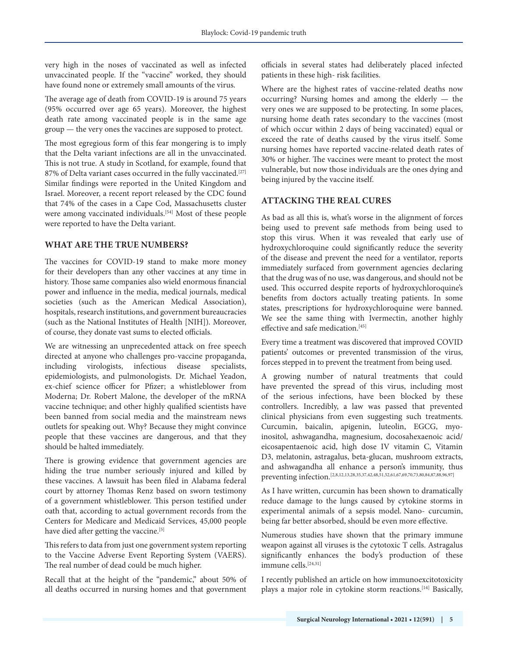very high in the noses of vaccinated as well as infected unvaccinated people. If the "vaccine" worked, they should have found none or extremely small amounts of the virus.

The average age of death from COVID-19 is around 75 years (95% occurred over age 65 years). Moreover, the highest death rate among vaccinated people is in the same age group — the very ones the vaccines are supposed to protect.

The most egregious form of this fear mongering is to imply that the Delta variant infections are all in the unvaccinated. This is not true. A study in Scotland, for example, found that 87% of Delta variant cases occurred in the fully vaccinated.<sup>[27]</sup> Similar findings were reported in the United Kingdom and Israel. Moreover, a recent report released by the CDC found that 74% of the cases in a Cape Cod, Massachusetts cluster were among vaccinated individuals.<sup>[54]</sup> Most of these people were reported to have the Delta variant.

# **WHAT ARE THE TRUE NUMBERS?**

The vaccines for COVID-19 stand to make more money for their developers than any other vaccines at any time in history. Those same companies also wield enormous financial power and influence in the media, medical journals, medical societies (such as the American Medical Association), hospitals, research institutions, and government bureaucracies (such as the National Institutes of Health [NIH]). Moreover, of course, they donate vast sums to elected officials.

We are witnessing an unprecedented attack on free speech directed at anyone who challenges pro-vaccine propaganda, including virologists, infectious disease specialists, epidemiologists, and pulmonologists. Dr. Michael Yeadon, ex-chief science officer for Pfizer; a whistleblower from Moderna; Dr. Robert Malone, the developer of the mRNA vaccine technique; and other highly qualified scientists have been banned from social media and the mainstream news outlets for speaking out. Why? Because they might convince people that these vaccines are dangerous, and that they should be halted immediately.

There is growing evidence that government agencies are hiding the true number seriously injured and killed by these vaccines. A lawsuit has been filed in Alabama federal court by attorney Thomas Renz based on sworn testimony of a government whistleblower. This person testified under oath that, according to actual government records from the Centers for Medicare and Medicaid Services, 45,000 people have died after getting the vaccine.<sup>[5]</sup>

This refers to data from just one government system reporting to the Vaccine Adverse Event Reporting System (VAERS). The real number of dead could be much higher.

Recall that at the height of the "pandemic," about 50% of all deaths occurred in nursing homes and that government

officials in several states had deliberately placed infected patients in these high- risk facilities.

Where are the highest rates of vaccine-related deaths now occurring? Nursing homes and among the elderly — the very ones we are supposed to be protecting. In some places, nursing home death rates secondary to the vaccines (most of which occur within 2 days of being vaccinated) equal or exceed the rate of deaths caused by the virus itself. Some nursing homes have reported vaccine-related death rates of 30% or higher. The vaccines were meant to protect the most vulnerable, but now those individuals are the ones dying and being injured by the vaccine itself.

# **ATTACKING THE REAL CURES**

As bad as all this is, what's worse in the alignment of forces being used to prevent safe methods from being used to stop this virus. When it was revealed that early use of hydroxychloroquine could significantly reduce the severity of the disease and prevent the need for a ventilator, reports immediately surfaced from government agencies declaring that the drug was of no use, was dangerous, and should not be used. This occurred despite reports of hydroxychloroquine's benefits from doctors actually treating patients. In some states, prescriptions for hydroxychloroquine were banned. We see the same thing with Ivermectin, another highly effective and safe medication.<sup>[45]</sup>

Every time a treatment was discovered that improved COVID patients' outcomes or prevented transmission of the virus, forces stepped in to prevent the treatment from being used.

A growing number of natural treatments that could have prevented the spread of this virus, including most of the serious infections, have been blocked by these controllers. Incredibly, a law was passed that prevented clinical physicians from even suggesting such treatments. Curcumin, baicalin, apigenin, luteolin, EGCG, myoinositol, ashwagandha, magnesium, docosahexaenoic acid/ eicosapentaenoic acid, high dose IV vitamin C, Vitamin D3, melatonin, astragalus, beta-glucan, mushroom extracts, and ashwagandha all enhance a person's immunity, thus preventing infection.<sup>[2,8,12,13,28,35,37,42,48,51,52,61,67,69,70,73,80,84,87,88,96,97]</sup>

As I have written, curcumin has been shown to dramatically reduce damage to the lungs caused by cytokine storms in experimental animals of a sepsis model. Nano- curcumin, being far better absorbed, should be even more effective.

Numerous studies have shown that the primary immune weapon against all viruses is the cytotoxic T cells. Astragalus significantly enhances the body's production of these immune cells.<sup>[24,31]</sup>

I recently published an article on how immunoexcitotoxicity plays a major role in cytokine storm reactions.[14] Basically,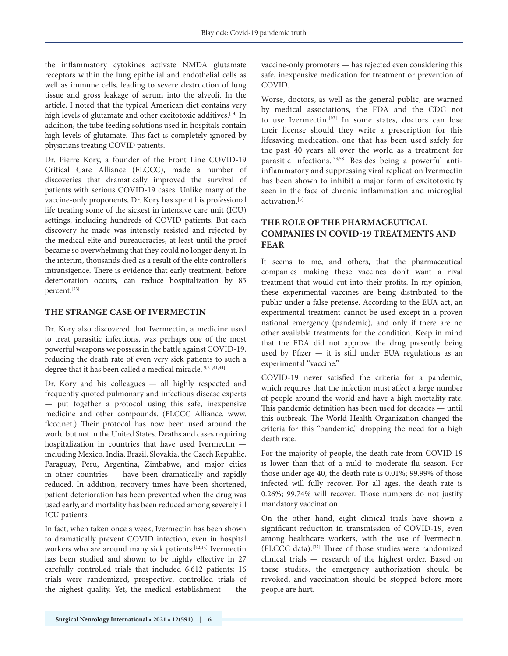the inflammatory cytokines activate NMDA glutamate receptors within the lung epithelial and endothelial cells as well as immune cells, leading to severe destruction of lung tissue and gross leakage of serum into the alveoli. In the article, I noted that the typical American diet contains very high levels of glutamate and other excitotoxic additives.<sup>[14]</sup> In addition, the tube feeding solutions used in hospitals contain high levels of glutamate. This fact is completely ignored by physicians treating COVID patients.

Dr. Pierre Kory, a founder of the Front Line COVID-19 Critical Care Alliance (FLCCC), made a number of discoveries that dramatically improved the survival of patients with serious COVID-19 cases. Unlike many of the vaccine-only proponents, Dr. Kory has spent his professional life treating some of the sickest in intensive care unit (ICU) settings, including hundreds of COVID patients. But each discovery he made was intensely resisted and rejected by the medical elite and bureaucracies, at least until the proof became so overwhelming that they could no longer deny it. In the interim, thousands died as a result of the elite controller's intransigence. There is evidence that early treatment, before deterioration occurs, can reduce hospitalization by 85 percent.[53]

## **THE STRANGE CASE OF IVERMECTIN**

Dr. Kory also discovered that Ivermectin, a medicine used to treat parasitic infections, was perhaps one of the most powerful weapons we possess in the battle against COVID-19, reducing the death rate of even very sick patients to such a degree that it has been called a medical miracle.<sup>[9,21,41,44]</sup>

Dr. Kory and his colleagues — all highly respected and frequently quoted pulmonary and infectious disease experts — put together a protocol using this safe, inexpensive medicine and other compounds. (FLCCC Alliance. www. flccc.net.) Their protocol has now been used around the world but not in the United States. Deaths and cases requiring hospitalization in countries that have used Ivermectin including Mexico, India, Brazil, Slovakia, the Czech Republic, Paraguay, Peru, Argentina, Zimbabwe, and major cities in other countries — have been dramatically and rapidly reduced. In addition, recovery times have been shortened, patient deterioration has been prevented when the drug was used early, and mortality has been reduced among severely ill ICU patients.

In fact, when taken once a week, Ivermectin has been shown to dramatically prevent COVID infection, even in hospital workers who are around many sick patients.<sup>[12,14]</sup> Ivermectin has been studied and shown to be highly effective in 27 carefully controlled trials that included 6,612 patients; 16 trials were randomized, prospective, controlled trials of the highest quality. Yet, the medical establishment — the

vaccine-only promoters — has rejected even considering this safe, inexpensive medication for treatment or prevention of COVID.

Worse, doctors, as well as the general public, are warned by medical associations, the FDA and the CDC not to use Ivermectin.[93] In some states, doctors can lose their license should they write a prescription for this lifesaving medication, one that has been used safely for the past 40 years all over the world as a treatment for parasitic infections.[33,58] Besides being a powerful antiinflammatory and suppressing viral replication Ivermectin has been shown to inhibit a major form of excitotoxicity seen in the face of chronic inflammation and microglial activation.[3]

# **THE ROLE OF THE PHARMACEUTICAL COMPANIES IN COVID-19 TREATMENTS AND FEAR**

It seems to me, and others, that the pharmaceutical companies making these vaccines don't want a rival treatment that would cut into their profits. In my opinion, these experimental vaccines are being distributed to the public under a false pretense. According to the EUA act, an experimental treatment cannot be used except in a proven national emergency (pandemic), and only if there are no other available treatments for the condition. Keep in mind that the FDA did not approve the drug presently being used by Pfizer — it is still under EUA regulations as an experimental "vaccine."

COVID-19 never satisfied the criteria for a pandemic, which requires that the infection must affect a large number of people around the world and have a high mortality rate. This pandemic definition has been used for decades — until this outbreak. The World Health Organization changed the criteria for this "pandemic," dropping the need for a high death rate.

For the majority of people, the death rate from COVID-19 is lower than that of a mild to moderate flu season. For those under age 40, the death rate is 0.01%; 99.99% of those infected will fully recover. For all ages, the death rate is 0.26%; 99.74% will recover. Those numbers do not justify mandatory vaccination.

On the other hand, eight clinical trials have shown a significant reduction in transmission of COVID-19, even among healthcare workers, with the use of Ivermectin. (FLCCC data).[32] Three of those studies were randomized clinical trials — research of the highest order. Based on these studies, the emergency authorization should be revoked, and vaccination should be stopped before more people are hurt.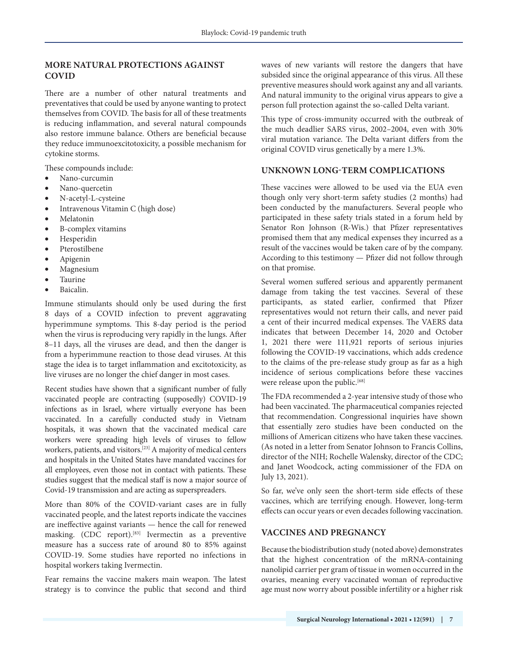## **MORE NATURAL PROTECTIONS AGAINST COVID**

There are a number of other natural treatments and preventatives that could be used by anyone wanting to protect themselves from COVID. The basis for all of these treatments is reducing inflammation, and several natural compounds also restore immune balance. Others are beneficial because they reduce immunoexcitotoxicity, a possible mechanism for cytokine storms.

These compounds include:

- Nano-curcumin
- Nano-quercetin
- N-acetyl-L-cysteine
- Intravenous Vitamin C (high dose)
- **Melatonin**
- B-complex vitamins
- **Hesperidin**
- **Pterostilbene**
- **Apigenin**
- **Magnesium**
- **Taurine**
- Baicalin

Immune stimulants should only be used during the first 8 days of a COVID infection to prevent aggravating hyperimmune symptoms. This 8-day period is the period when the virus is reproducing very rapidly in the lungs. After 8–11 days, all the viruses are dead, and then the danger is from a hyperimmune reaction to those dead viruses. At this stage the idea is to target inflammation and excitotoxicity, as live viruses are no longer the chief danger in most cases.

Recent studies have shown that a significant number of fully vaccinated people are contracting (supposedly) COVID-19 infections as in Israel, where virtually everyone has been vaccinated. In a carefully conducted study in Vietnam hospitals, it was shown that the vaccinated medical care workers were spreading high levels of viruses to fellow workers, patients, and visitors.[23] A majority of medical centers and hospitals in the United States have mandated vaccines for all employees, even those not in contact with patients. These studies suggest that the medical staff is now a major source of Covid-19 transmission and are acting as superspreaders.

More than 80% of the COVID-variant cases are in fully vaccinated people, and the latest reports indicate the vaccines are ineffective against variants — hence the call for renewed masking. (CDC report).<sup>[83]</sup> Ivermectin as a preventive measure has a success rate of around 80 to 85% against COVID-19. Some studies have reported no infections in hospital workers taking Ivermectin.

Fear remains the vaccine makers main weapon. The latest strategy is to convince the public that second and third

waves of new variants will restore the dangers that have subsided since the original appearance of this virus. All these preventive measures should work against any and all variants. And natural immunity to the original virus appears to give a person full protection against the so-called Delta variant.

This type of cross-immunity occurred with the outbreak of the much deadlier SARS virus, 2002–2004, even with 30% viral mutation variance. The Delta variant differs from the original COVID virus genetically by a mere 1.3%.

#### **UNKNOWN LONG-TERM COMPLICATIONS**

These vaccines were allowed to be used via the EUA even though only very short-term safety studies (2 months) had been conducted by the manufacturers. Several people who participated in these safety trials stated in a forum held by Senator Ron Johnson (R-Wis.) that Pfizer representatives promised them that any medical expenses they incurred as a result of the vaccines would be taken care of by the company. According to this testimony — Pfizer did not follow through on that promise.

Several women suffered serious and apparently permanent damage from taking the test vaccines. Several of these participants, as stated earlier, confirmed that Pfizer representatives would not return their calls, and never paid a cent of their incurred medical expenses. The VAERS data indicates that between December 14, 2020 and October 1, 2021 there were 111,921 reports of serious injuries following the COVID-19 vaccinations, which adds credence to the claims of the pre-release study group as far as a high incidence of serious complications before these vaccines were release upon the public.<sup>[68]</sup>

The FDA recommended a 2-year intensive study of those who had been vaccinated. The pharmaceutical companies rejected that recommendation. Congressional inquiries have shown that essentially zero studies have been conducted on the millions of American citizens who have taken these vaccines. (As noted in a letter from Senator Johnson to Francis Collins, director of the NIH; Rochelle Walensky, director of the CDC; and Janet Woodcock, acting commissioner of the FDA on July 13, 2021).

So far, we've only seen the short-term side effects of these vaccines, which are terrifying enough. However, long-term effects can occur years or even decades following vaccination.

## **VACCINES AND PREGNANCY**

Because the biodistribution study (noted above) demonstrates that the highest concentration of the mRNA-containing nanolipid carrier per gram of tissue in women occurred in the ovaries, meaning every vaccinated woman of reproductive age must now worry about possible infertility or a higher risk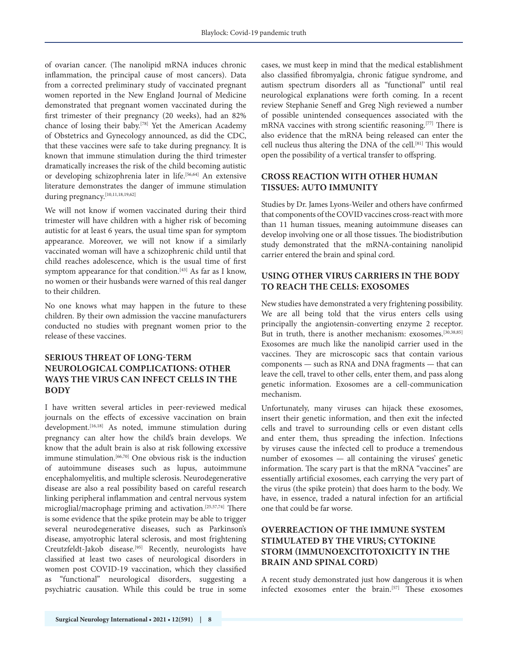of ovarian cancer. (The nanolipid mRNA induces chronic inflammation, the principal cause of most cancers). Data from a corrected preliminary study of vaccinated pregnant women reported in the New England Journal of Medicine demonstrated that pregnant women vaccinated during the first trimester of their pregnancy (20 weeks), had an 82% chance of losing their baby.[78] Yet the American Academy of Obstetrics and Gynecology announced, as did the CDC, that these vaccines were safe to take during pregnancy. It is known that immune stimulation during the third trimester dramatically increases the risk of the child becoming autistic or developing schizophrenia later in life.[56,64] An extensive literature demonstrates the danger of immune stimulation during pregnancy.<sup>[10,11,18,19,62]</sup>

We will not know if women vaccinated during their third trimester will have children with a higher risk of becoming autistic for at least 6 years, the usual time span for symptom appearance. Moreover, we will not know if a similarly vaccinated woman will have a schizophrenic child until that child reaches adolescence, which is the usual time of first symptom appearance for that condition.<sup>[43]</sup> As far as I know, no women or their husbands were warned of this real danger to their children.

No one knows what may happen in the future to these children. By their own admission the vaccine manufacturers conducted no studies with pregnant women prior to the release of these vaccines.

# **SERIOUS THREAT OF LONG-TERM NEUROLOGICAL COMPLICATIONS: OTHER WAYS THE VIRUS CAN INFECT CELLS IN THE BODY**

I have written several articles in peer-reviewed medical journals on the effects of excessive vaccination on brain development.<sup>[16,18]</sup> As noted, immune stimulation during pregnancy can alter how the child's brain develops. We know that the adult brain is also at risk following excessive immune stimulation.[66,70] One obvious risk is the induction of autoimmune diseases such as lupus, autoimmune encephalomyelitis, and multiple sclerosis. Neurodegenerative disease are also a real possibility based on careful research linking peripheral inflammation and central nervous system microglial/macrophage priming and activation.[25,57,74] There is some evidence that the spike protein may be able to trigger several neurodegenerative diseases, such as Parkinson's disease, amyotrophic lateral sclerosis, and most frightening Creutzfeldt-Jakob disease.[95] Recently, neurologists have classified at least two cases of neurological disorders in women post COVID-19 vaccination, which they classified as "functional" neurological disorders, suggesting a psychiatric causation. While this could be true in some

cases, we must keep in mind that the medical establishment also classified fibromyalgia, chronic fatigue syndrome, and autism spectrum disorders all as "functional" until real neurological explanations were forth coming. In a recent review Stephanie Seneff and Greg Nigh reviewed a number of possible unintended consequences associated with the mRNA vaccines with strong scientific reasoning.<sup>[77]</sup> There is also evidence that the mRNA being released can enter the cell nucleus thus altering the DNA of the cell.<sup>[81]</sup> This would open the possibility of a vertical transfer to offspring.

## **CROSS REACTION WITH OTHER HUMAN TISSUES: AUTO IMMUNITY**

Studies by Dr. James Lyons-Weiler and others have confirmed that components of the COVID vaccines cross-react with more than 11 human tissues, meaning autoimmune diseases can develop involving one or all those tissues. The biodistribution study demonstrated that the mRNA-containing nanolipid carrier entered the brain and spinal cord.

## **USING OTHER VIRUS CARRIERS IN THE BODY TO REACH THE CELLS: EXOSOMES**

New studies have demonstrated a very frightening possibility. We are all being told that the virus enters cells using principally the angiotensin-converting enzyme 2 receptor. But in truth, there is another mechanism: exosomes.<sup>[30,38,85]</sup> Exosomes are much like the nanolipid carrier used in the vaccines. They are microscopic sacs that contain various components — such as RNA and DNA fragments — that can leave the cell, travel to other cells, enter them, and pass along genetic information. Exosomes are a cell-communication mechanism.

Unfortunately, many viruses can hijack these exosomes, insert their genetic information, and then exit the infected cells and travel to surrounding cells or even distant cells and enter them, thus spreading the infection. Infections by viruses cause the infected cell to produce a tremendous number of exosomes — all containing the viruses' genetic information. The scary part is that the mRNA "vaccines" are essentially artificial exosomes, each carrying the very part of the virus (the spike protein) that does harm to the body. We have, in essence, traded a natural infection for an artificial one that could be far worse.

# **OVERREACTION OF THE IMMUNE SYSTEM STIMULATED BY THE VIRUS; CYTOKINE STORM (IMMUNOEXCITOTOXICITY IN THE BRAIN AND SPINAL CORD)**

A recent study demonstrated just how dangerous it is when infected exosomes enter the brain.<sup>[57]</sup> These exosomes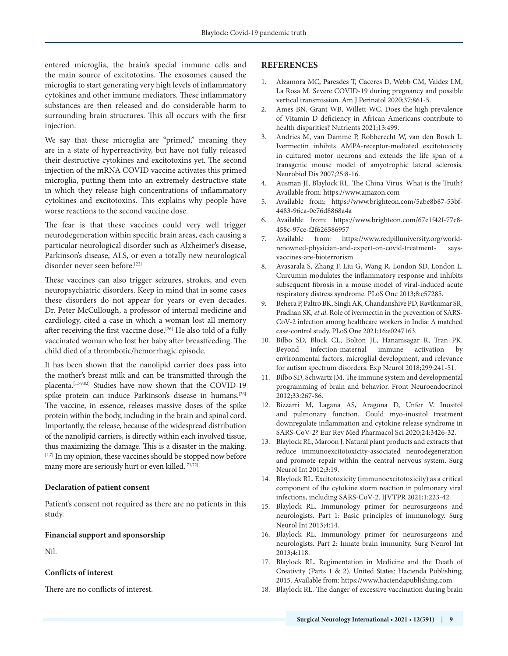entered microglia, the brain's special immune cells and the main source of excitotoxins. The exosomes caused the microglia to start generating very high levels of inflammatory cytokines and other immune mediators. These inflammatory substances are then released and do considerable harm to surrounding brain structures. This all occurs with the first injection.

We say that these microglia are "primed," meaning they are in a state of hyperreactivity, but have not fully released their destructive cytokines and excitotoxins yet. The second injection of the mRNA COVID vaccine activates this primed microglia, putting them into an extremely destructive state in which they release high concentrations of inflammatory cytokines and excitotoxins. This explains why people have worse reactions to the second vaccine dose.

The fear is that these vaccines could very well trigger neurodegeneration within specific brain areas, each causing a particular neurological disorder such as Alzheimer's disease, Parkinson's disease, ALS, or even a totally new neurological disorder never seen before.<sup>[22]</sup>

These vaccines can also trigger seizures, strokes, and even neuropsychiatric disorders. Keep in mind that in some cases these disorders do not appear for years or even decades. Dr. Peter McCullough, a professor of internal medicine and cardiology, cited a case in which a woman lost all memory after receiving the first vaccine dose.<sup>[26]</sup> He also told of a fully vaccinated woman who lost her baby after breastfeeding. The child died of a thrombotic/hemorrhagic episode.

It has been shown that the nanolipid carrier does pass into the mother's breast milk and can be transmitted through the placenta.[1,79,82] Studies have now shown that the COVID-19 spike protein can induce Parkinson's disease in humans.[26] The vaccine, in essence, releases massive doses of the spike protein within the body, including in the brain and spinal cord. Importantly, the release, because of the widespread distribution of the nanolipid carriers, is directly within each involved tissue, thus maximizing the damage. This is a disaster in the making. [4,7] In my opinion, these vaccines should be stopped now before many more are seriously hurt or even killed.<sup>[71,72]</sup>

#### **Declaration of patient consent**

Patient's consent not required as there are no patients in this study.

#### **Financial support and sponsorship**

Nil.

#### **Conflicts of interest**

There are no conflicts of interest.

#### **REFERENCES**

- 1. Alzamora MC, Paresdes T, Caceres D, Webb CM, Valdez LM, La Rosa M. Severe COVID-19 during pregnancy and possible vertical transmission. Am J Perinatol 2020;37:861-5.
- 2. Ames BN, Grant WB, Willett WC. Does the high prevalence of Vitamin D deficiency in African Americans contribute to health disparities? Nutrients 2021;13:499.
- 3. Andries M, van Damme P, Robberecht W, van den Bosch L. Ivermectin inhibits AMPA-receptor-mediated excitotoxicity in cultured motor neurons and extends the life span of a transgenic mouse model of amyotrophic lateral sclerosis. Neurobiol Dis 2007;25:8-16.
- 4. Ausman JI, Blaylock RL. The China Virus. What is the Truth? Available from: https://www.amazon.com
- 5. Available from: https://www.brighteon.com/5abe8b87-53bf-4483-96ca-0e76d8868a4a
- 6. Available from: https://www.brighteon.com/67e1f42f-77e8- 458c-97ce-f2f626586957
- 7. Available from: https://www.redpilluniversity.org/worldrenowned-physician-and-expert-on-covid-treatment- saysvaccines-are-bioterrorism
- 8. Avasarala S, Zhang F, Liu G, Wang R, London SD, London L. Curcumin modulates the inflammatory response and inhibits subsequent fibrosis in a mouse model of viral-induced acute respiratory distress syndrome. PLoS One 2013;8:e57285.
- 9. Behera P, Paltro BK, Singh AK, Chandanshive PD, Ravikumar SR, Pradhan SK, *et al*. Role of ivermectin in the prevention of SARS-CoV-2 infection among healthcare workers in India: A matched case-control study. PLoS One 2021;16:e0247163.
- 10. Bilbo SD, Block CL, Bolton JL, Hanamsagar R, Tran PK. Beyond infection-maternal immune activation by environmental factors, microglial development, and relevance for autism spectrum disorders. Exp Neurol 2018;299:241-51.
- 11. Bilbo SD, Schwartz JM. The immune system and developmental programming of brain and behavior. Front Neuroendocrinol 2012;33:267-86.
- 12. Bizzarri M, Lagana AS, Aragona D, Unfer V. Inositol and pulmonary function. Could myo-inositol treatment downregulate inflammation and cytokine release syndrome in SARS-CoV-2? Eur Rev Med Pharmacol Sci 2020;24:3426-32.
- 13. Blaylock RL, Maroon J. Natural plant products and extracts that reduce immunoexcitotoxicity-associated neurodegeneration and promote repair within the central nervous system. Surg Neurol Int 2012;3:19.
- 14. Blaylock RL. Excitotoxicity (immunoexcitotoxicity) as a critical component of the cytokine storm reaction in pulmonary viral infections, including SARS-CoV-2. IJVTPR 2021;1:223-42.
- 15. Blaylock RL. Immunology primer for neurosurgeons and neurologists. Part 1: Basic principles of immunology. Surg Neurol Int 2013;4:14.
- 16. Blaylock RL. Immunology primer for neurosurgeons and neurologists. Part 2: Innate brain immunity. Surg Neurol Int 2013;4:118.
- 17. Blaylock RL. Regimentation in Medicine and the Death of Creativity (Parts 1 & 2). United States: Hacienda Publishing; 2015. Available from: https://www.haciendapublishing.com
- 18. Blaylock RL. The danger of excessive vaccination during brain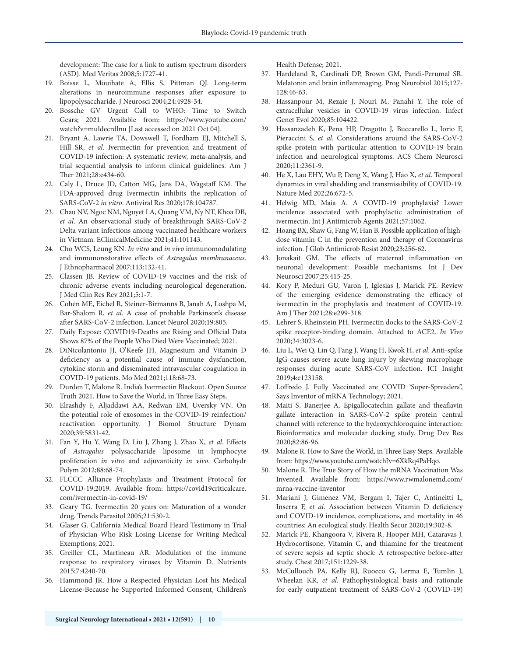development: The case for a link to autism spectrum disorders (ASD). Med Veritas 2008;5:1727-41.

- 19. Boisse L, Mouihate A, Ellis S, Pittman QJ. Long-term alterations in neuroimmune responses after exposure to lipopolysaccharide. J Neurosci 2004;24:4928-34.
- 20. Bossche GV Urgent Call to WHO: Time to Switch Gears; 2021. Available from: https://www.youtube.com/ watch?v=muldecrdlnu [Last accessed on 2021 Oct 04].
- 21. Bryant A, Lawrie TA, Dowswell T, Fordham EJ, Mitchell S, Hill SR, *et al*. Ivermectin for prevention and treatment of COVID-19 infection: A systematic review, meta-analysis, and trial sequential analysis to inform clinical guidelines. Am J Ther 2021;28:e434-60.
- 22. Caly L, Druce JD, Catton MG, Jans DA, Wagstaff KM. The FDA-approved drug Ivermectin inhibits the replication of SARS-CoV-2 *in vitro*. Antiviral Res 2020;178:104787.
- 23. Chau NV, Ngoc NM, Nguyet LA, Quang VM, Ny NT, Khoa DB, *et al*. An observational study of breakthrough SARS-CoV-2 Delta variant infections among vaccinated healthcare workers in Vietnam. EClinicalMedicine 2021;41:101143.
- 24. Cho WCS, Leung KN. *In vitro* and *in vivo* immunomodulating and immunorestorative effects of *Astragalus membranaceus*. J Ethnopharmacol 2007;113:132-41.
- 25. Classen JB. Review of COVID-19 vaccines and the risk of chronic adverse events including neurological degeneration. J Med Clin Res Rev 2021;5:1-7.
- 26. Cohen ME, Eichel R, Steiner-Birmanns B, Janah A, Loshpa M, Bar-Shalom R, *et al*. A case of probable Parkinson's disease after SARS-CoV-2 infection. Lancet Neurol 2020;19:805.
- 27. Daily Expose: COVID19-Deaths are Rising and Official Data Shows 87% of the People Who Died Were Vaccinated; 2021.
- 28. DiNicolantonio JJ, O'Keefe JH. Magnesium and Vitamin D deficiency as a potential cause of immune dysfunction, cytokine storm and disseminated intravascular coagulation in COVID-19 patients. Mo Med 2021;118:68-73.
- 29. Durden T, Malone R. India's Ivermectin Blackout. Open Source Truth 2021. How to Save the World, in Three Easy Steps.
- 30. Elrashdy F, Aljaddawi AA, Redwan EM, Uversky VN. On the potential role of exosomes in the COVID-19 reinfection/ reactivation opportunity. J Biomol Structure Dynam 2020;39:5831-42.
- 31. Fan Y, Hu Y, Wang D, Liu J, Zhang J, Zhao X, *et al*. Effects of *Astragalus* polysaccharide liposome in lymphocyte proliferation *in vitro* and adjuvanticity *in vivo*. Carbohydr Polym 2012;88:68-74.
- 32. FLCCC Alliance Prophylaxis and Treatment Protocol for COVID-19;2019. Available from: https://covid19criticalcare. com/ivermectin-in-covid-19/
- 33. Geary TG. Ivermectin 20 years on: Maturation of a wonder drug. Trends Parasitol 2005;21:530-2.
- 34. Glaser G. California Medical Board Heard Testimony in Trial of Physician Who Risk Losing License for Writing Medical Exemptions; 2021.
- 35. Greiller CL, Martineau AR. Modulation of the immune response to respiratory viruses by Vitamin D. Nutrients 2015;7:4240-70.
- 36. Hammond JR. How a Respected Physician Lost his Medical License-Because he Supported Informed Consent, Children's

Health Defense; 2021.

- 37. Hardeland R, Cardinali DP, Brown GM, Pandi-Perumal SR. Melatonin and brain inflammaging. Prog Neurobiol 2015;127- 128:46-63.
- 38. Hassanpour M, Rezaie J, Nouri M, Panahi Y. The role of extracellular vesicles in COVID-19 virus infection. Infect Genet Evol 2020;85:104422.
- 39. Hassanzadeh K, Pena HP, Dragotto J, Buccarello L, Iorio F, Pieraccini S, *et al*. Considerations around the SARS-CoV-2 spike protein with particular attention to COVID-19 brain infection and neurological symptoms. ACS Chem Neurosci 2020;11:2361-9.
- 40. He X, Lau EHY, Wu P, Deng X, Wang J, Hao X, *et al*. Temporal dynamics in viral shedding and transmissibility of COVID-19. Nature Med 202;26:672-5.
- 41. Helwig MD, Maia A. A COVID-19 prophylaxis? Lower incidence associated with prophylactic administration of ivermectin. Int J Antimicrob Agents 2021;57:1062.
- 42. Hoang BX, Shaw G, Fang W, Han B. Possible application of highdose vitamin C in the prevention and therapy of Coronavirus infection. J Glob Antimicrob Resist 2020;23:256-62.
- 43. Jonakait GM. The effects of maternal inflammation on neuronal development: Possible mechanisms. Int J Dev Neurosci 2007;25:415-25.
- 44. Kory P, Meduri GU, Varon J, Iglesias J, Marick PE. Review of the emerging evidence demonstrating the efficacy of ivermectin in the prophylaxis and treatment of COVID-19. Am J Ther 2021;28:e299-318.
- 45. Lehrer S, Rheinstein PH. Ivermectin docks to the SARS-CoV-2 spike receptor-binding domain. Attached to ACE2. *In Vivo* 2020;34:3023-6.
- 46. Liu L, Wei Q, Lin Q, Fang J, Wang H, Kwok H, *et al*. Anti-spike IgG causes severe acute lung injury by skewing macrophage responses during acute SARS-CoV infection. JCI Insight 2019;4:e123158.
- 47. Loffredo J. Fully Vaccinated are COVID 'Super-Spreaders", Says Inventor of mRNA Technology; 2021.
- 48. Maiti S, Banerjee A. Epigallocatechin gallate and theaflavin gallate interaction in SARS-CoV-2 spike protein central channel with reference to the hydroxychloroquine interaction: Bioinformatics and molecular docking study. Drug Dev Res 2020;82:86-96.
- 49. Malone R. How to Save the World, in Three Easy Steps. Available from: https://www.youtube.com/watch?v=6XkRq4PaHqo.
- 50. Malone R. The True Story of How the mRNA Vaccination Was Invented. Available from: https://www.rwmalonemd.com/ mrna-vaccine-inventor
- 51. Mariani J, Gimenez VM, Bergam I, Tajer C, Antineitti L, Inserra F, *et al*. Association between Vitamin D deficiency and COVID-19 incidence, complications, and mortality in 46 countries: An ecological study. Health Secur 2020;19:302-8.
- 52. Marick PE, Khangoora V, Rivera R, Hooper MH, Cataravas J. Hydrocortisone, Vitamin C, and thiamine for the treatment of severe sepsis ad septic shock: A retrospective before-after study. Chest 2017;151:1229-38.
- 53. McCullouch PA, Kelly RJ, Ruocco G, Lerma E, Tumlin J, Wheelan KR, *et al*. Pathophysiological basis and rationale for early outpatient treatment of SARS-CoV-2 (COVID-19)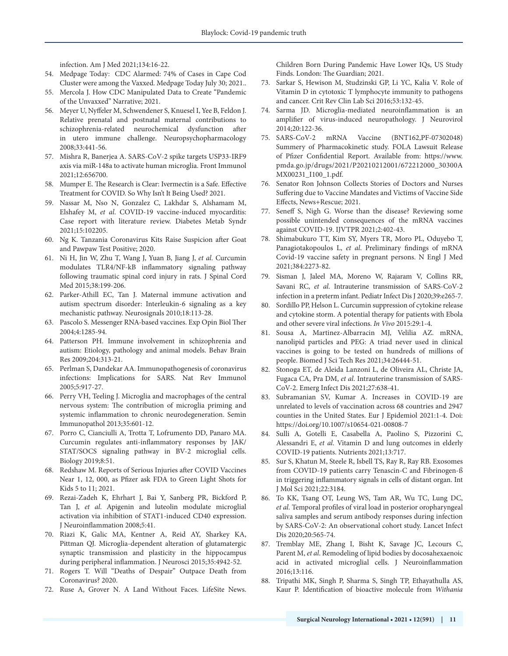infection. Am J Med 2021;134:16-22.

- 54. Medpage Today: CDC Alarmed: 74% of Cases in Cape Cod Cluster were among the Vaxxed. Medpage Today July 30; 2021..
- 55. Mercola J. How CDC Manipulated Data to Create "Pandemic of the Unvaxxed" Narrative; 2021.
- 56. Meyer U, Nyffeler M, Schwendener S, Knuesel I, Yee B, Feldon J. Relative prenatal and postnatal maternal contributions to schizophrenia-related neurochemical dysfunction after in utero immune challenge. Neuropsychopharmacology 2008;33:441-56.
- 57. Mishra R, Banerjea A. SARS-CoV-2 spike targets USP33-IRF9 axis via miR-148a to activate human microglia. Front Immunol 2021;12:656700.
- 58. Mumper E. The Research is Clear: Ivermectin is a Safe. Effective Treatment for COVID. So Why Isn't It Being Used? 2021.
- 59. Nassar M, Nso N, Gonzalez C, Lakhdar S, Alshamam M, Elshafey M, *et al*. COVID-19 vaccine-induced myocarditis: Case report with literature review. Diabetes Metab Syndr 2021;15:102205.
- 60. Ng K. Tanzania Coronavirus Kits Raise Suspicion after Goat and Pawpaw Test Positive; 2020.
- 61. Ni H, Jin W, Zhu T, Wang J, Yuan B, Jiang J, *et al*. Curcumin modulates TLR4/NF-kB inflammatory signaling pathway following traumatic spinal cord injury in rats. J Spinal Cord Med 2015;38:199-206.
- 62. Parker-Athill EC, Tan J. Maternal immune activation and autism spectrum disorder: Interleukin-6 signaling as a key mechanistic pathway. Neurosignals 2010;18:113-28.
- 63. Pascolo S. Messenger RNA-based vaccines. Exp Opin Biol Ther 2004;4:1285-94.
- 64. Patterson PH. Immune involvement in schizophrenia and autism: Etiology, pathology and animal models. Behav Brain Res 2009;204:313-21.
- 65. Perlman S, Dandekar AA. Immunopathogenesis of coronavirus infections: Implications for SARS. Nat Rev Immunol 2005;5:917-27.
- 66. Perry VH, Teeling J. Microglia and macrophages of the central nervous system: The contribution of microglia priming and systemic inflammation to chronic neurodegeneration. Semin Immunopathol 2013;35:601-12.
- 67. Porro C, Cianciulli A, Trotta T, Lofrumento DD, Panaro MA. Curcumin regulates anti-inflammatory responses by JAK/ STAT/SOCS signaling pathway in BV-2 microglial cells. Biology 2019;8:51.
- 68. Redshaw M. Reports of Serious Injuries after COVID Vaccines Near 1, 12, 000, as Pfizer ask FDA to Green Light Shots for Kids 5 to 11; 2021.
- 69. Rezai-Zadeh K, Ehrhart J, Bai Y, Sanberg PR, Bickford P, Tan J, *et al*. Apigenin and luteolin modulate microglial activation via inhibition of STAT1-induced CD40 expression. J Neuroinflammation 2008;5:41.
- 70. Riazi K, Galic MA, Kentner A, Reid AY, Sharkey KA, Pittman QJ. Microglia-dependent alteration of glutamatergic synaptic transmission and plasticity in the hippocampus during peripheral inflammation. J Neurosci 2015;35:4942-52.
- 71. Rogers T. Will "Deaths of Despair" Outpace Death from Coronavirus? 2020.
- 72. Ruse A, Grover N. A Land Without Faces. LifeSite News.

Children Born During Pandemic Have Lower IQs, US Study Finds. London: The Guardian; 2021.

- 73. Sarkar S, Hewison M, Studzinski GP, Li YC, Kalia V. Role of Vitamin D in cytotoxic T lymphocyte immunity to pathogens and cancer. Crit Rev Clin Lab Sci 2016;53:132-45.
- 74. Sarma JD. Microglia-mediated neuroinflammation is an amplifier of virus-induced neuropathology. J Neurovirol 2014;20:122-36.
- 75. SARS-CoV-2 mRNA Vaccine (BNT162,PF-07302048) Summery of Pharmacokinetic study. FOLA Lawsuit Release of Pfizer Confidential Report. Available from: https://www. pmda.go.jp/drugs/2021/P20210212001/672212000\_30300A MX00231\_I100\_1.pdf.
- 76. Senator Ron Johnson Collects Stories of Doctors and Nurses Suffering due to Vaccine Mandates and Victims of Vaccine Side Effects, News+Rescue; 2021.
- 77. Seneff S, Nigh G. Worse than the disease? Reviewing some possible unintended consequences of the mRNA vaccines against COVID-19. IJVTPR 2021;2:402-43.
- 78. Shimabukuro TT, Kim SY, Myers TR, Moro PL, Oduyebo T, Panagiotakopoulos L, *et al*. Preliminary findings of mRNA Covid-19 vaccine safety in pregnant persons. N Engl J Med 2021;384:2273-82.
- 79. Sisman J, Jaleel MA, Moreno W, Rajaram V, Collins RR, Savani RC, *et al*. Intrauterine transmission of SARS-CoV-2 infection in a preterm infant. Pediatr Infect Dis J 2020;39:e265-7.
- 80. Sordillo PP, Helson L. Curcumin suppression of cytokine release and cytokine storm. A potential therapy for patients with Ebola and other severe viral infections. *In Vivo* 2015:29:1-4.
- 81. Sousa A, Martinez-Albarracin MJ, Velilia AZ. mRNA, nanolipid particles and PEG: A triad never used in clinical vaccines is going to be tested on hundreds of millions of people. Biomed J Sci Tech Res 2021;34:26444-51.
- 82. Stonoga ET, de Aleida Lanzoni L, de Oliveira AL, Christe JA, Fugaca CA, Pra DM, *et al*. Intrauterine transmission of SARS-CoV-2. Emerg Infect Dis 2021;27:638-41.
- 83. Subramanian SV, Kumar A. Increases in COVID-19 are unrelated to levels of vaccination across 68 countries and 2947 counties in the United States. Eur J Epidemiol 2021:1-4. Doi: https://doi.org/10.1007/s10654-021-00808-7
- 84. Sulli A, Gotelli E, Casabella A, Paolino S, Pizzorini C, Alessandri E, *et al*. Vitamin D and lung outcomes in elderly COVID-19 patients. Nutrients 2021;13:717.
- 85. Sur S, Khatun M, Steele R, Isbell TS, Ray R, Ray RB. Exosomes from COVID-19 patients carry Tenascin-C and Fibrinogen-ß in triggering inflammatory signals in cells of distant organ. Int J Mol Sci 2021;22:3184.
- 86. To KK, Tsang OT, Leung WS, Tam AR, Wu TC, Lung DC, *et al*. Temporal profiles of viral load in posterior oropharyngeal saliva samples and serum antibody responses during infection by SARS-CoV-2: An observational cohort study. Lancet Infect Dis 2020;20:565-74.
- 87. Tremblay ME, Zhang I, Bisht K, Savage JC, Lecours C, Parent M, *et al*. Remodeling of lipid bodies by docosahexaenoic acid in activated microglial cells. J Neuroinflammation 2016;13:116.
- 88. Tripathi MK, Singh P, Sharma S, Singh TP, Ethayathulla AS, Kaur P. Identification of bioactive molecule from *Withania*